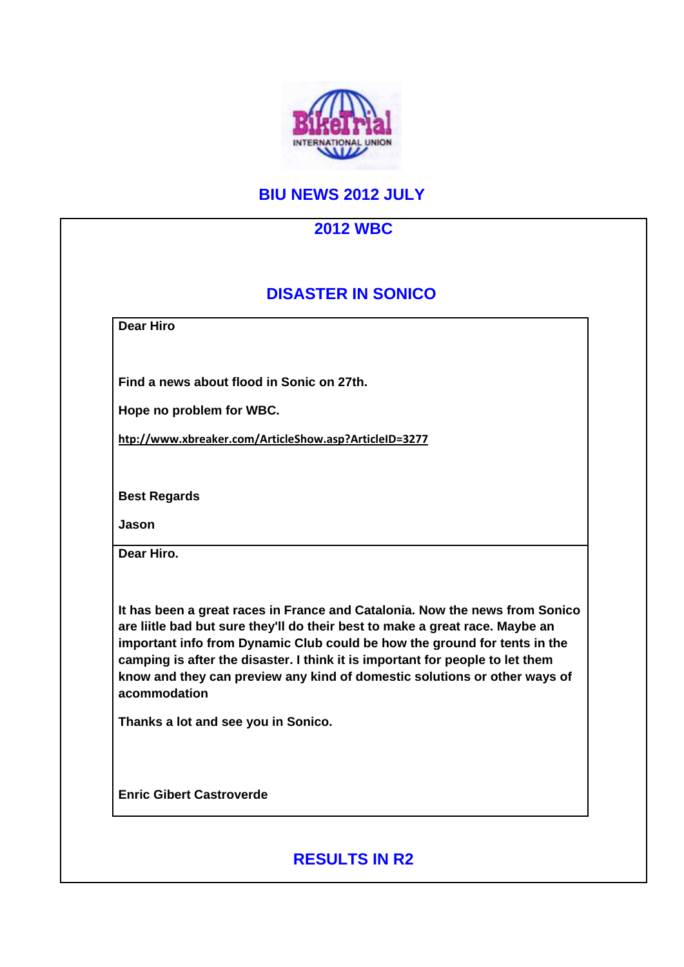

## **BIU NEWS 2012 JULY**

|                                 | <b>DISASTER IN SONICO</b>                                                                                                                                                                                                                                                                                                                                                                              |
|---------------------------------|--------------------------------------------------------------------------------------------------------------------------------------------------------------------------------------------------------------------------------------------------------------------------------------------------------------------------------------------------------------------------------------------------------|
| <b>Dear Hiro</b>                |                                                                                                                                                                                                                                                                                                                                                                                                        |
|                                 | Find a news about flood in Sonic on 27th.                                                                                                                                                                                                                                                                                                                                                              |
| Hope no problem for WBC.        |                                                                                                                                                                                                                                                                                                                                                                                                        |
|                                 | htp://www.xbreaker.com/ArticleShow.asp?ArticleID=3277                                                                                                                                                                                                                                                                                                                                                  |
| <b>Best Regards</b>             |                                                                                                                                                                                                                                                                                                                                                                                                        |
| Jason                           |                                                                                                                                                                                                                                                                                                                                                                                                        |
| Dear Hiro.                      |                                                                                                                                                                                                                                                                                                                                                                                                        |
| acommodation                    | It has been a great races in France and Catalonia. Now the news from Sonico<br>are liitle bad but sure they'll do their best to make a great race. Maybe an<br>important info from Dynamic Club could be how the ground for tents in the<br>camping is after the disaster. I think it is important for people to let them<br>know and they can preview any kind of domestic solutions or other ways of |
|                                 | Thanks a lot and see you in Sonico.                                                                                                                                                                                                                                                                                                                                                                    |
| <b>Enric Gibert Castroverde</b> |                                                                                                                                                                                                                                                                                                                                                                                                        |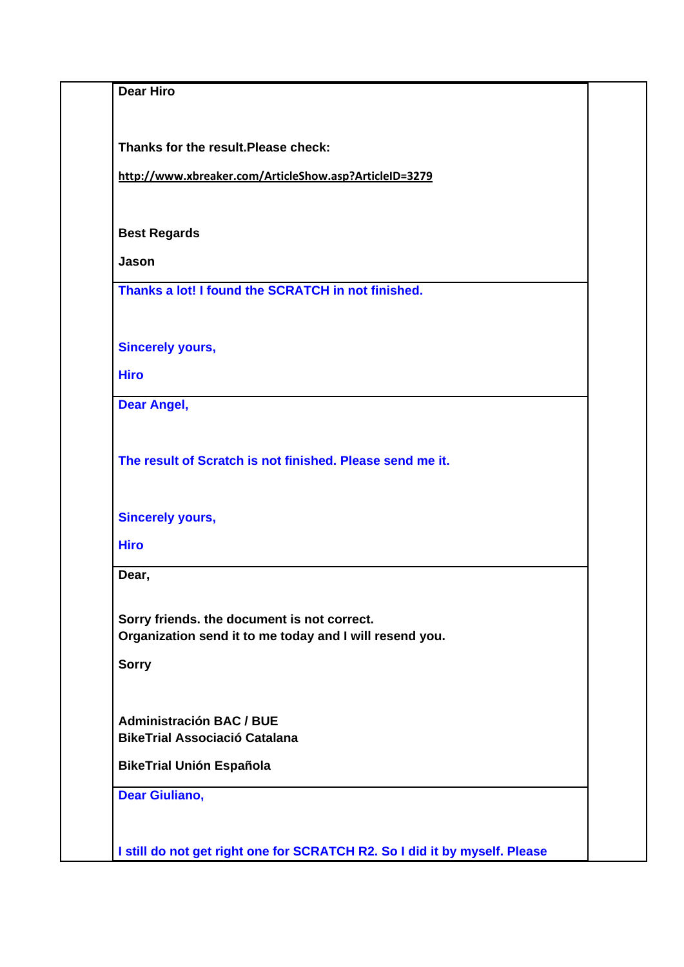| <b>Dear Hiro</b>                                                           |  |
|----------------------------------------------------------------------------|--|
|                                                                            |  |
|                                                                            |  |
| Thanks for the result. Please check:                                       |  |
|                                                                            |  |
| http://www.xbreaker.com/ArticleShow.asp?ArticleID=3279                     |  |
|                                                                            |  |
| <b>Best Regards</b>                                                        |  |
| Jason                                                                      |  |
|                                                                            |  |
| Thanks a lot! I found the SCRATCH in not finished.                         |  |
|                                                                            |  |
| <b>Sincerely yours,</b>                                                    |  |
|                                                                            |  |
| <b>Hiro</b>                                                                |  |
| <b>Dear Angel,</b>                                                         |  |
|                                                                            |  |
|                                                                            |  |
| The result of Scratch is not finished. Please send me it.                  |  |
|                                                                            |  |
| <b>Sincerely yours,</b>                                                    |  |
|                                                                            |  |
| <b>Hiro</b>                                                                |  |
| Dear,                                                                      |  |
|                                                                            |  |
| Sorry friends. the document is not correct.                                |  |
| Organization send it to me today and I will resend you.                    |  |
| <b>Sorry</b>                                                               |  |
|                                                                            |  |
|                                                                            |  |
| <b>Administración BAC / BUE</b><br><b>BikeTrial Associació Catalana</b>    |  |
|                                                                            |  |
| <b>BikeTrial Unión Española</b>                                            |  |
| <b>Dear Giuliano,</b>                                                      |  |
|                                                                            |  |
|                                                                            |  |
| I still do not get right one for SCRATCH R2. So I did it by myself. Please |  |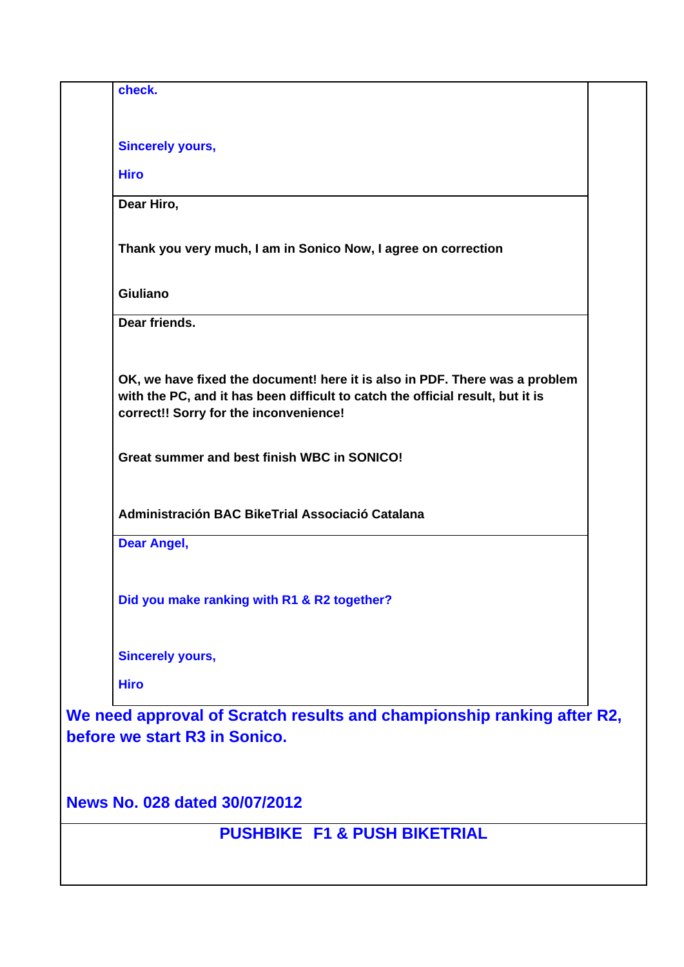| check.                                                                                                                                                                                                  |  |  |  |  |
|---------------------------------------------------------------------------------------------------------------------------------------------------------------------------------------------------------|--|--|--|--|
|                                                                                                                                                                                                         |  |  |  |  |
| <b>Sincerely yours,</b><br><b>Hiro</b>                                                                                                                                                                  |  |  |  |  |
| Dear Hiro,                                                                                                                                                                                              |  |  |  |  |
|                                                                                                                                                                                                         |  |  |  |  |
| Thank you very much, I am in Sonico Now, I agree on correction                                                                                                                                          |  |  |  |  |
| <b>Giuliano</b>                                                                                                                                                                                         |  |  |  |  |
| Dear friends.                                                                                                                                                                                           |  |  |  |  |
| OK, we have fixed the document! here it is also in PDF. There was a problem<br>with the PC, and it has been difficult to catch the official result, but it is<br>correct!! Sorry for the inconvenience! |  |  |  |  |
| Great summer and best finish WBC in SONICO!                                                                                                                                                             |  |  |  |  |
| Administración BAC BikeTrial Associació Catalana                                                                                                                                                        |  |  |  |  |
| <b>Dear Angel,</b>                                                                                                                                                                                      |  |  |  |  |
| Did you make ranking with R1 & R2 together?                                                                                                                                                             |  |  |  |  |
| <b>Sincerely yours,</b>                                                                                                                                                                                 |  |  |  |  |
| <b>Hiro</b>                                                                                                                                                                                             |  |  |  |  |
| We need approval of Scratch results and championship ranking after R2,<br>before we start R3 in Sonico.                                                                                                 |  |  |  |  |
| News No. 028 dated 30/07/2012                                                                                                                                                                           |  |  |  |  |
| <b>PUSHBIKE F1 &amp; PUSH BIKETRIAL</b>                                                                                                                                                                 |  |  |  |  |
|                                                                                                                                                                                                         |  |  |  |  |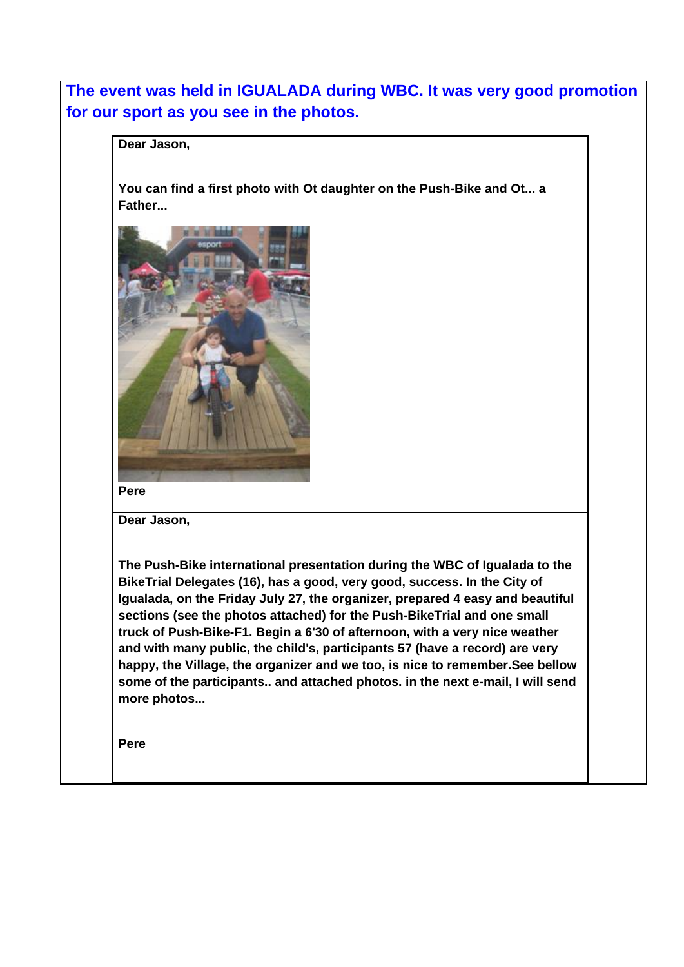## **The event was held in IGUALADA during WBC. It was very good promotion for our sport as you see in the photos.**

**Dear Jason,**

**You can find a first photo with Ot daughter on the Push-Bike and Ot... a Father...** 



**Pere**

**Dear Jason,**

**The Push-Bike international presentation during the WBC of Igualada to the BikeTrial Delegates (16), has a good, very good, success. In the City of Igualada, on the Friday July 27, the organizer, prepared 4 easy and beautiful sections (see the photos attached) for the Push-BikeTrial and one small truck of Push-Bike-F1. Begin a 6'30 of afternoon, with a very nice weather and with many public, the child's, participants 57 (have a record) are very happy, the Village, the organizer and we too, is nice to remember.See bellow some of the participants.. and attached photos. in the next e-mail, I will send more photos...** 

**Pere**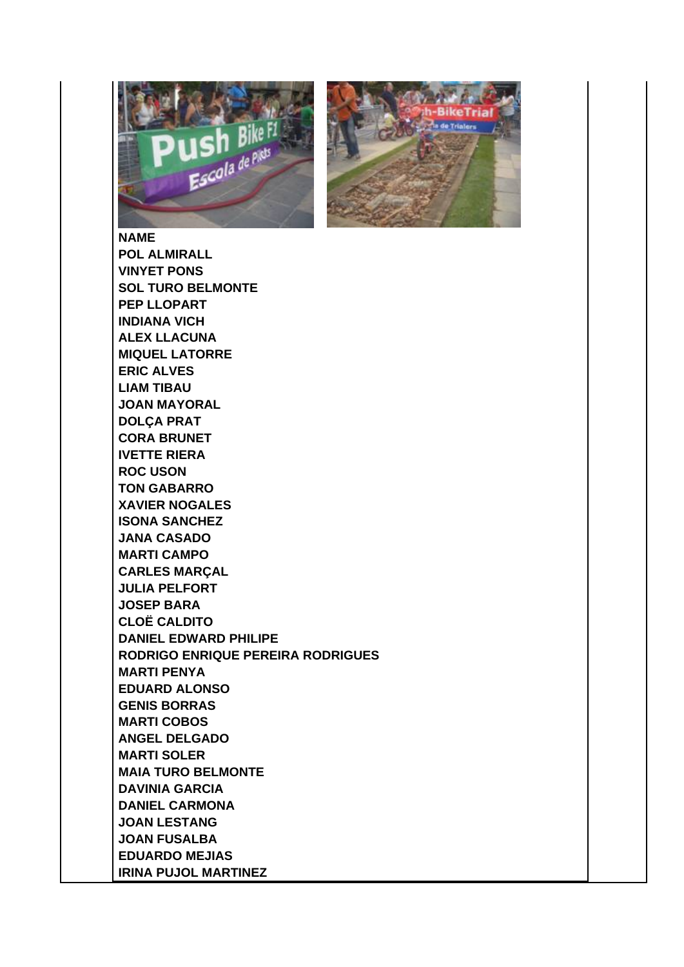



**NAME POL ALMIRALL VINYET PONS SOL TURO BELMONTE PEP LLOPART INDIANA VICH ALEX LLACUNA MIQUEL LATORRE ERIC ALVES LIAM TIBAU JOAN MAYORAL DOLÇA PRAT CORA BRUNET IVETTE RIERA ROC USON TON GABARRO XAVIER NOGALES ISONA SANCHEZ JANA CASADO MARTI CAMPO CARLES MARÇAL JULIA PELFORT JOSEP BARA CLOË CALDITO DANIEL EDWARD PHILIPE RODRIGO ENRIQUE PEREIRA RODRIGUES MARTI PENYA EDUARD ALONSO GENIS BORRAS MARTI COBOS ANGEL DELGADO MARTI SOLER MAIA TURO BELMONTE DAVINIA GARCIA DANIEL CARMONA JOAN LESTANG JOAN FUSALBA EDUARDO MEJIAS IRINA PUJOL MARTINEZ**